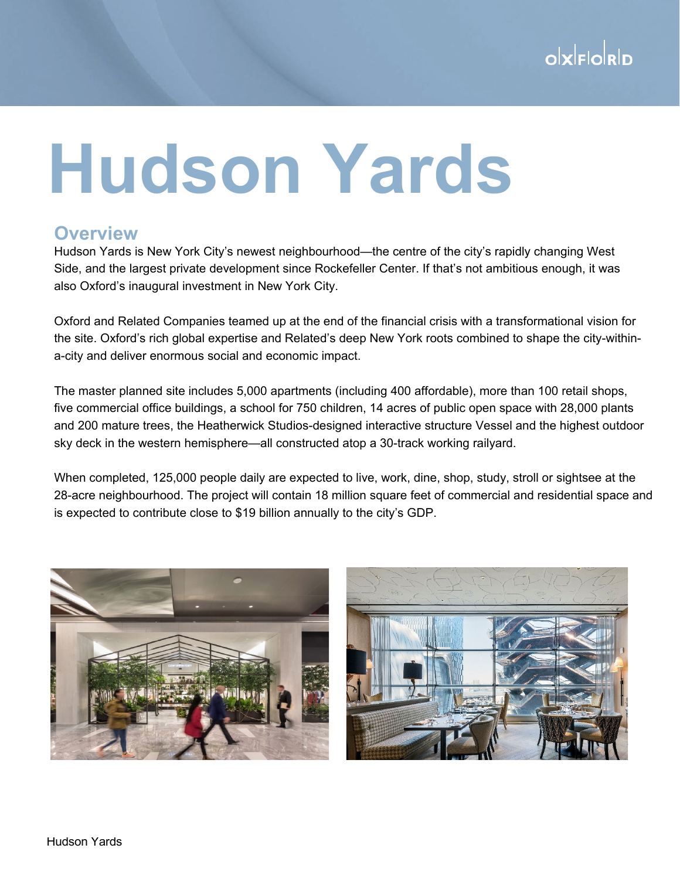## **Hudson Yards**

## **Overview**

Hudson Yards is New York City's newest neighbourhood—the centre of the city's rapidly changing West Side, and the largest private development since Rockefeller Center. If that's not ambitious enough, it was also Oxford's inaugural investment in New York City.

Oxford and Related Companies teamed up at the end of the financial crisis with a transformational vision for the site. Oxford's rich global expertise and Related's deep New York roots combined to shape the city-withina-city and deliver enormous social and economic impact.

The master planned site includes 5,000 apartments (including 400 affordable), more than 100 retail shops, five commercial office buildings, a school for 750 children, 14 acres of public open space with 28,000 plants and 200 mature trees, the Heatherwick Studios-designed interactive structure Vessel and the highest outdoor sky deck in the western hemisphere—all constructed atop a 30-track working railyard.

When completed, 125,000 people daily are expected to live, work, dine, shop, study, stroll or sightsee at the 28-acre neighbourhood. The project will contain 18 million square feet of commercial and residential space and is expected to contribute close to \$19 billion annually to the city's GDP.